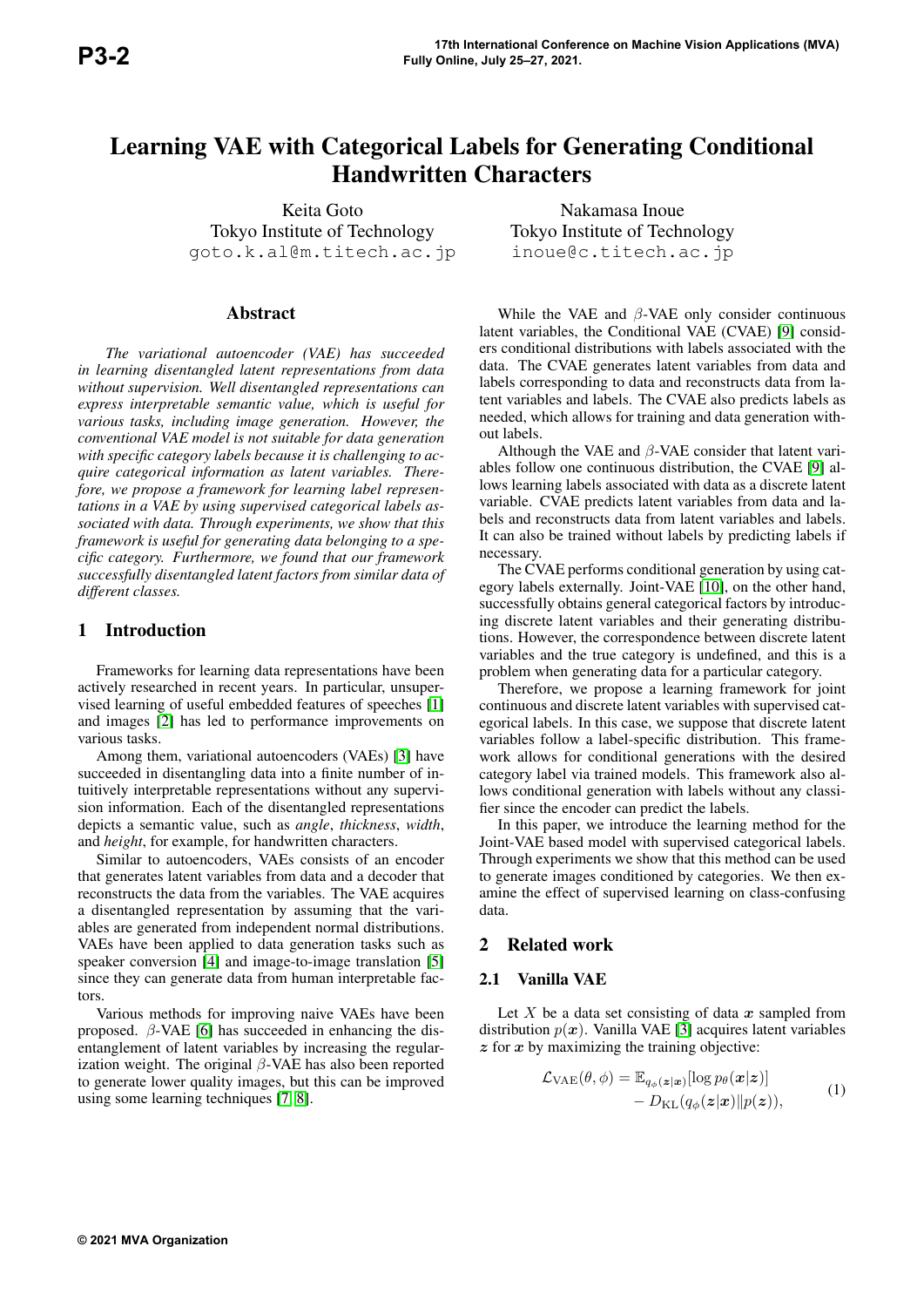# Learning VAE with Categorical Labels for Generating Conditional Handwritten Characters

Keita Goto Tokyo Institute of Technology goto.k.al@m.titech.ac.jp

## Abstract

*The variational autoencoder (VAE) has succeeded in learning disentangled latent representations from data without supervision. Well disentangled representations can express interpretable semantic value, which is useful for various tasks, including image generation. However, the conventional VAE model is not suitable for data generation with specific category labels because it is challenging to acquire categorical information as latent variables. Therefore, we propose a framework for learning label representations in a VAE by using supervised categorical labels associated with data. Through experiments, we show that this framework is useful for generating data belonging to a specific category. Furthermore, we found that our framework successfully disentangled latent factors from similar data of different classes.*

# 1 Introduction

Frameworks for learning data representations have been actively researched in recent years. In particular, unsupervised learning of useful embedded features of speeches [1] and images [2] has led to performance improvements on various tasks.

Among them, variational autoencoders (VAEs) [3] have succeeded in disentangling data into a finite number of intuitively interpretable representations without any supervision information. Each of the disentangled representations depicts a semantic value, such as *angle*, *thickness*, *width*, and *height*, for example, for handwritten characters.

Similar to autoencoders, VAEs consists of an encoder that generates latent variables from data and a decoder that reconstructs the data from the variables. The VAE acquires a disentangled representation by assuming that the variables are generated from independent normal distributions. VAEs have been applied to data generation tasks such as speaker conversion [4] and image-to-image translation [5] since they can generate data from human interpretable factors.

Various methods for improving naive VAEs have been proposed.  $\beta$ -VAE [6] has succeeded in enhancing the disentanglement of latent variables by increasing the regularization weight. The original  $\beta$ -VAE has also been reported to generate lower quality images, but this can be improved using some learning techniques [7, 8].

Nakamasa Inoue Tokyo Institute of Technology inoue@c.titech.ac.jp

While the VAE and  $\beta$ -VAE only consider continuous latent variables, the Conditional VAE (CVAE) [9] considers conditional distributions with labels associated with the data. The CVAE generates latent variables from data and labels corresponding to data and reconstructs data from latent variables and labels. The CVAE also predicts labels as needed, which allows for training and data generation without labels.

Although the VAE and  $\beta$ -VAE consider that latent variables follow one continuous distribution, the CVAE [9] allows learning labels associated with data as a discrete latent variable. CVAE predicts latent variables from data and labels and reconstructs data from latent variables and labels. It can also be trained without labels by predicting labels if necessary.

The CVAE performs conditional generation by using category labels externally. Joint-VAE [10], on the other hand, successfully obtains general categorical factors by introducing discrete latent variables and their generating distributions. However, the correspondence between discrete latent variables and the true category is undefined, and this is a problem when generating data for a particular category.

Therefore, we propose a learning framework for joint continuous and discrete latent variables with supervised categorical labels. In this case, we suppose that discrete latent variables follow a label-specific distribution. This framework allows for conditional generations with the desired category label via trained models. This framework also allows conditional generation with labels without any classifier since the encoder can predict the labels.

In this paper, we introduce the learning method for the Joint-VAE based model with supervised categorical labels. Through experiments we show that this method can be used to generate images conditioned by categories. We then examine the effect of supervised learning on class-confusing data.

# 2 Related work

## 2.1 Vanilla VAE

Let X be a data set consisting of data  $x$  sampled from distribution  $p(x)$ . Vanilla VAE [3] acquires latent variables  $z$  for  $x$  by maximizing the training objective:

$$
\mathcal{L}_{\text{VAE}}(\theta, \phi) = \mathbb{E}_{q_{\phi}(\boldsymbol{z}|\boldsymbol{x})}[\log p_{\theta}(\boldsymbol{x}|\boldsymbol{z})] - D_{\text{KL}}(q_{\phi}(\boldsymbol{z}|\boldsymbol{x})||p(\boldsymbol{z})),
$$
\n(1)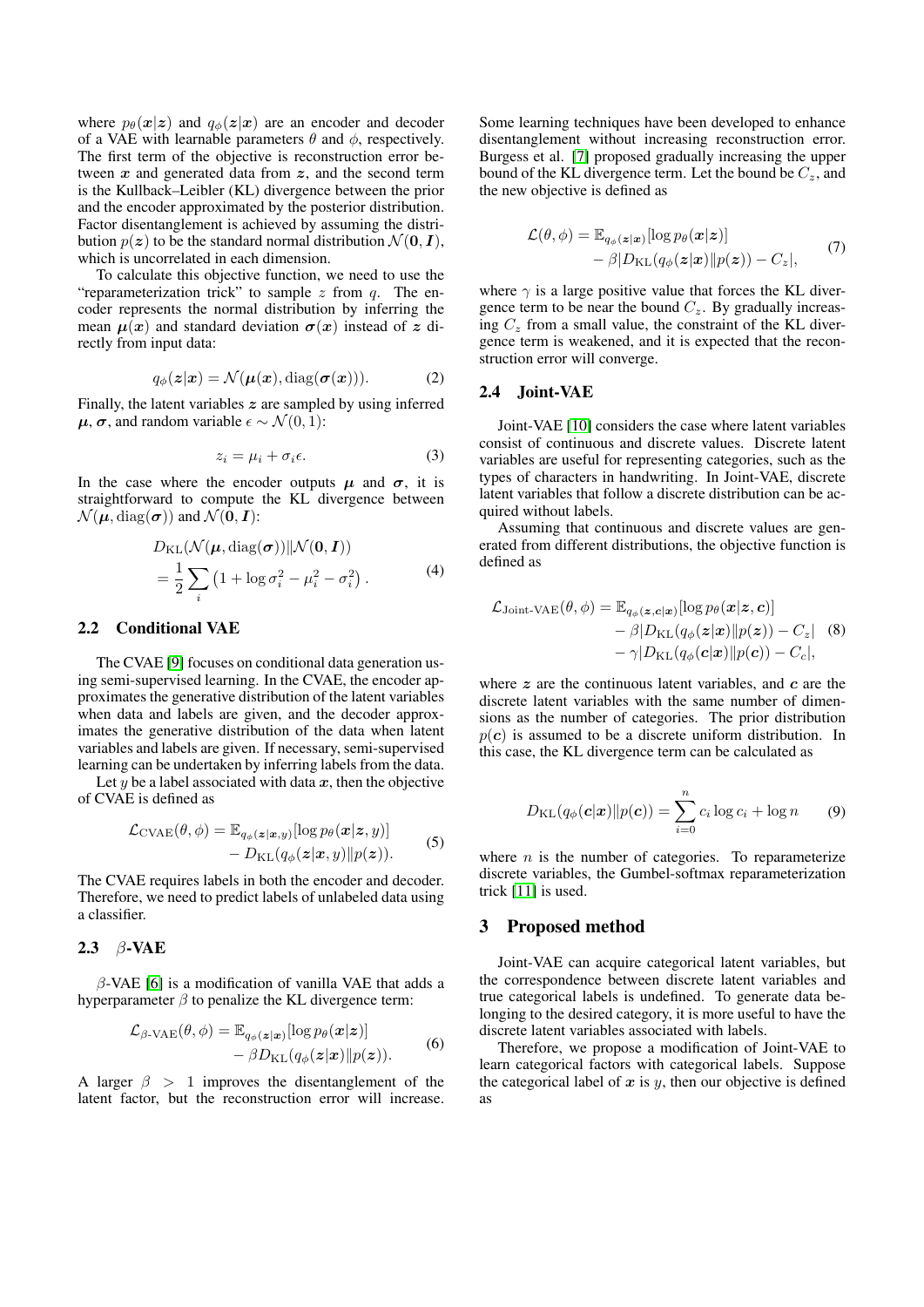where  $p_{\theta}(\mathbf{x}|\mathbf{z})$  and  $q_{\phi}(\mathbf{z}|\mathbf{x})$  are an encoder and decoder of a VAE with learnable parameters  $\theta$  and  $\phi$ , respectively. The first term of the objective is reconstruction error between  $x$  and generated data from  $z$ , and the second term is the Kullback–Leibler (KL) divergence between the prior and the encoder approximated by the posterior distribution. Factor disentanglement is achieved by assuming the distribution  $p(z)$  to be the standard normal distribution  $\mathcal{N}(\mathbf{0}, \mathbf{I}),$ which is uncorrelated in each dimension.

To calculate this objective function, we need to use the "reparameterization trick" to sample  $z$  from  $q$ . The encoder represents the normal distribution by inferring the mean  $\mu(x)$  and standard deviation  $\sigma(x)$  instead of z directly from input data:

$$
q_{\phi}(\mathbf{z}|\mathbf{x}) = \mathcal{N}(\boldsymbol{\mu}(\mathbf{x}), \text{diag}(\boldsymbol{\sigma}(\mathbf{x}))).
$$
 (2)

Finally, the latent variables  $z$  are sampled by using inferred  $\mu$ ,  $\sigma$ , and random variable  $\epsilon \sim \mathcal{N}(0, 1)$ :

$$
z_i = \mu_i + \sigma_i \epsilon. \tag{3}
$$

In the case where the encoder outputs  $\mu$  and  $\sigma$ , it is straightforward to compute the KL divergence between  $\mathcal{N}(\boldsymbol{\mu}, \text{diag}(\boldsymbol{\sigma}))$  and  $\mathcal{N}(\mathbf{0}, \mathbf{I})$ :

$$
D_{\text{KL}}(\mathcal{N}(\boldsymbol{\mu}, \text{diag}(\boldsymbol{\sigma})) || \mathcal{N}(\mathbf{0}, \boldsymbol{I}))
$$
  
= 
$$
\frac{1}{2} \sum_{i} \left( 1 + \log \sigma_i^2 - \mu_i^2 - \sigma_i^2 \right).
$$
 (4)

#### 2.2 Conditional VAE

The CVAE [9] focuses on conditional data generation using semi-supervised learning. In the CVAE, the encoder approximates the generative distribution of the latent variables when data and labels are given, and the decoder approximates the generative distribution of the data when latent variables and labels are given. If necessary, semi-supervised learning can be undertaken by inferring labels from the data.

Let y be a label associated with data  $x$ , then the objective of CVAE is defined as

$$
\mathcal{L}_{\text{CVAE}}(\theta, \phi) = \mathbb{E}_{q_{\phi}(\boldsymbol{z}|\boldsymbol{x}, y)}[\log p_{\theta}(\boldsymbol{x}|\boldsymbol{z}, y)] - D_{\text{KL}}(q_{\phi}(\boldsymbol{z}|\boldsymbol{x}, y) || p(\boldsymbol{z})).
$$
\n(5)

The CVAE requires labels in both the encoder and decoder. Therefore, we need to predict labels of unlabeled data using a classifier.

## 2.3 β-VAE

 $\beta$ -VAE [6] is a modification of vanilla VAE that adds a hyperparameter  $\beta$  to penalize the KL divergence term:

$$
\mathcal{L}_{\beta\text{-VAE}}(\theta,\phi) = \mathbb{E}_{q_{\phi}(\boldsymbol{z}|\boldsymbol{x})}[\log p_{\theta}(\boldsymbol{x}|\boldsymbol{z})] - \beta D_{\text{KL}}(q_{\phi}(\boldsymbol{z}|\boldsymbol{x})||p(\boldsymbol{z})).
$$
 (6)

A larger  $\beta > 1$  improves the disentanglement of the latent factor, but the reconstruction error will increase.

Some learning techniques have been developed to enhance disentanglement without increasing reconstruction error. Burgess et al. [7] proposed gradually increasing the upper bound of the KL divergence term. Let the bound be  $C_z$ , and the new objective is defined as

$$
\mathcal{L}(\theta, \phi) = \mathbb{E}_{q_{\phi}(\boldsymbol{z}|\boldsymbol{x})}[\log p_{\theta}(\boldsymbol{x}|\boldsymbol{z})] - \beta |D_{\mathrm{KL}}(q_{\phi}(\boldsymbol{z}|\boldsymbol{x})||p(\boldsymbol{z})) - C_{z}|,
$$
\n(7)

where  $\gamma$  is a large positive value that forces the KL divergence term to be near the bound  $C_z$ . By gradually increasing  $C_z$  from a small value, the constraint of the KL divergence term is weakened, and it is expected that the reconstruction error will converge.

#### 2.4 Joint-VAE

Joint-VAE [10] considers the case where latent variables consist of continuous and discrete values. Discrete latent variables are useful for representing categories, such as the types of characters in handwriting. In Joint-VAE, discrete latent variables that follow a discrete distribution can be acquired without labels.

Assuming that continuous and discrete values are generated from different distributions, the objective function is defined as

$$
\mathcal{L}_{\text{Joint-VAE}}(\theta, \phi) = \mathbb{E}_{q_{\phi}(\mathbf{z}, \mathbf{c} | \mathbf{x})} [\log p_{\theta}(\mathbf{x} | \mathbf{z}, \mathbf{c})] \n- \beta |D_{\text{KL}}(q_{\phi}(\mathbf{z} | \mathbf{x}) || p(\mathbf{z})) - C_z| \quad (8) \n- \gamma |D_{\text{KL}}(q_{\phi}(\mathbf{c} | \mathbf{x}) || p(\mathbf{c})) - C_c|,
$$

where  $z$  are the continuous latent variables, and  $c$  are the discrete latent variables with the same number of dimensions as the number of categories. The prior distribution  $p(c)$  is assumed to be a discrete uniform distribution. In this case, the KL divergence term can be calculated as

$$
D_{\mathrm{KL}}(q_{\phi}(\boldsymbol{c}|\boldsymbol{x})||p(\boldsymbol{c})) = \sum_{i=0}^{n} c_i \log c_i + \log n \qquad (9)
$$

where  $n$  is the number of categories. To reparameterize discrete variables, the Gumbel-softmax reparameterization trick [11] is used.

#### 3 Proposed method

Joint-VAE can acquire categorical latent variables, but the correspondence between discrete latent variables and true categorical labels is undefined. To generate data belonging to the desired category, it is more useful to have the discrete latent variables associated with labels.

Therefore, we propose a modification of Joint-VAE to learn categorical factors with categorical labels. Suppose the categorical label of  $x$  is  $y$ , then our objective is defined as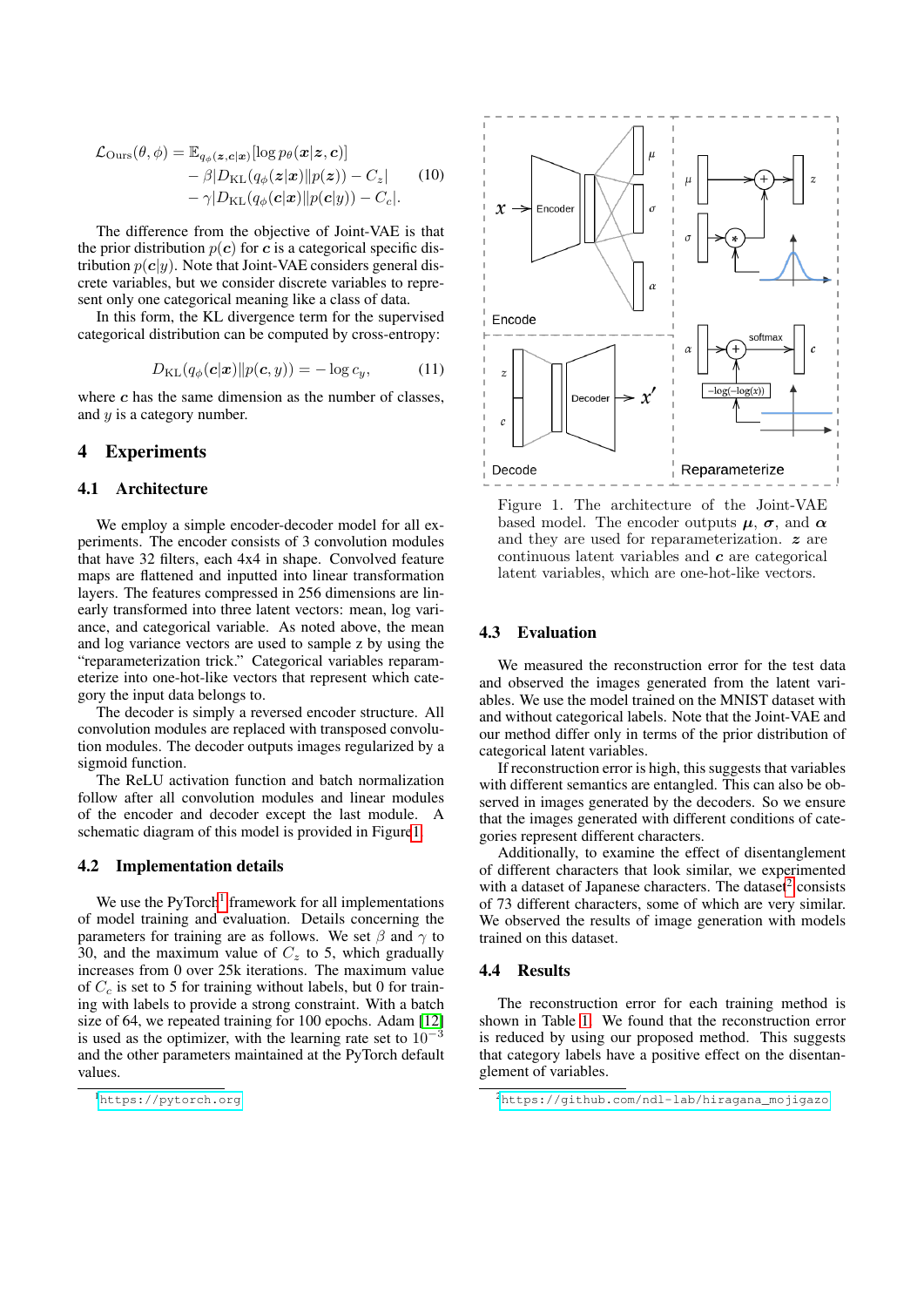$$
\mathcal{L}_{\text{Ours}}(\theta, \phi) = \mathbb{E}_{q_{\phi}(\mathbf{z}, \mathbf{c} | \mathbf{x})}[\log p_{\theta}(\mathbf{x} | \mathbf{z}, \mathbf{c})] \n- \beta |D_{\text{KL}}(q_{\phi}(\mathbf{z} | \mathbf{x}) || p(\mathbf{z})) - C_{z}| \n- \gamma |D_{\text{KL}}(q_{\phi}(\mathbf{c} | \mathbf{x}) || p(\mathbf{c} | y)) - C_{c}|.
$$
\n(10)

The difference from the objective of Joint-VAE is that the prior distribution  $p(c)$  for c is a categorical specific distribution  $p(c|y)$ . Note that Joint-VAE considers general discrete variables, but we consider discrete variables to represent only one categorical meaning like a class of data.

In this form, the KL divergence term for the supervised categorical distribution can be computed by cross-entropy:

$$
D_{\mathrm{KL}}(q_{\phi}(\mathbf{c}|\mathbf{x})||p(\mathbf{c}, y)) = -\log c_y, \qquad (11)
$$

where  $c$  has the same dimension as the number of classes, and y is a category number.

## 4 Experiments

#### 4.1 Architecture

We employ a simple encoder-decoder model for all experiments. The encoder consists of 3 convolution modules that have 32 filters, each 4x4 in shape. Convolved feature maps are flattened and inputted into linear transformation layers. The features compressed in 256 dimensions are linearly transformed into three latent vectors: mean, log variance, and categorical variable. As noted above, the mean and log variance vectors are used to sample z by using the "reparameterization trick." Categorical variables reparameterize into one-hot-like vectors that represent which category the input data belongs to.

The decoder is simply a reversed encoder structure. All convolution modules are replaced with transposed convolution modules. The decoder outputs images regularized by a sigmoid function.

The ReLU activation function and batch normalization follow after all convolution modules and linear modules of the encoder and decoder except the last module. A schematic diagram of this model is provided in Figure1.

#### 4.2 Implementation details

We use the PyTorch<sup>1</sup> framework for all implementations of model training and evaluation. Details concerning the parameters for training are as follows. We set  $\beta$  and  $\gamma$  to 30, and the maximum value of  $C_z$  to 5, which gradually increases from 0 over 25k iterations. The maximum value of  $C_c$  is set to 5 for training without labels, but 0 for training with labels to provide a strong constraint. With a batch size of 64, we repeated training for 100 epochs. Adam [12] is used as the optimizer, with the learning rate set to  $10^{-3}$ and the other parameters maintained at the PyTorch default values.



Figure 1. The architecture of the Joint-VAE based model. The encoder outputs  $\mu$ ,  $\sigma$ , and  $\alpha$ and they are used for reparameterization. z are continuous latent variables and  $c$  are categorical latent variables, which are one-hot-like vectors.

#### 4.3 Evaluation

We measured the reconstruction error for the test data and observed the images generated from the latent variables. We use the model trained on the MNIST dataset with and without categorical labels. Note that the Joint-VAE and our method differ only in terms of the prior distribution of categorical latent variables.

If reconstruction error is high, this suggests that variables with different semantics are entangled. This can also be observed in images generated by the decoders. So we ensure that the images generated with different conditions of categories represent different characters.

Additionally, to examine the effect of disentanglement of different characters that look similar, we experimented with a dataset of Japanese characters. The dataset<sup>2</sup> consists of 73 different characters, some of which are very similar. We observed the results of image generation with models trained on this dataset.

#### 4.4 Results

The reconstruction error for each training method is shown in Table 1. We found that the reconstruction error is reduced by using our proposed method. This suggests that category labels have a positive effect on the disentanglement of variables.

<sup>1</sup><https://pytorch.org>

<sup>2</sup>[https://github.com/ndl-lab/hiragana\\_mojigazo](https://github.com/ndl-lab/hiragana_mojigazo)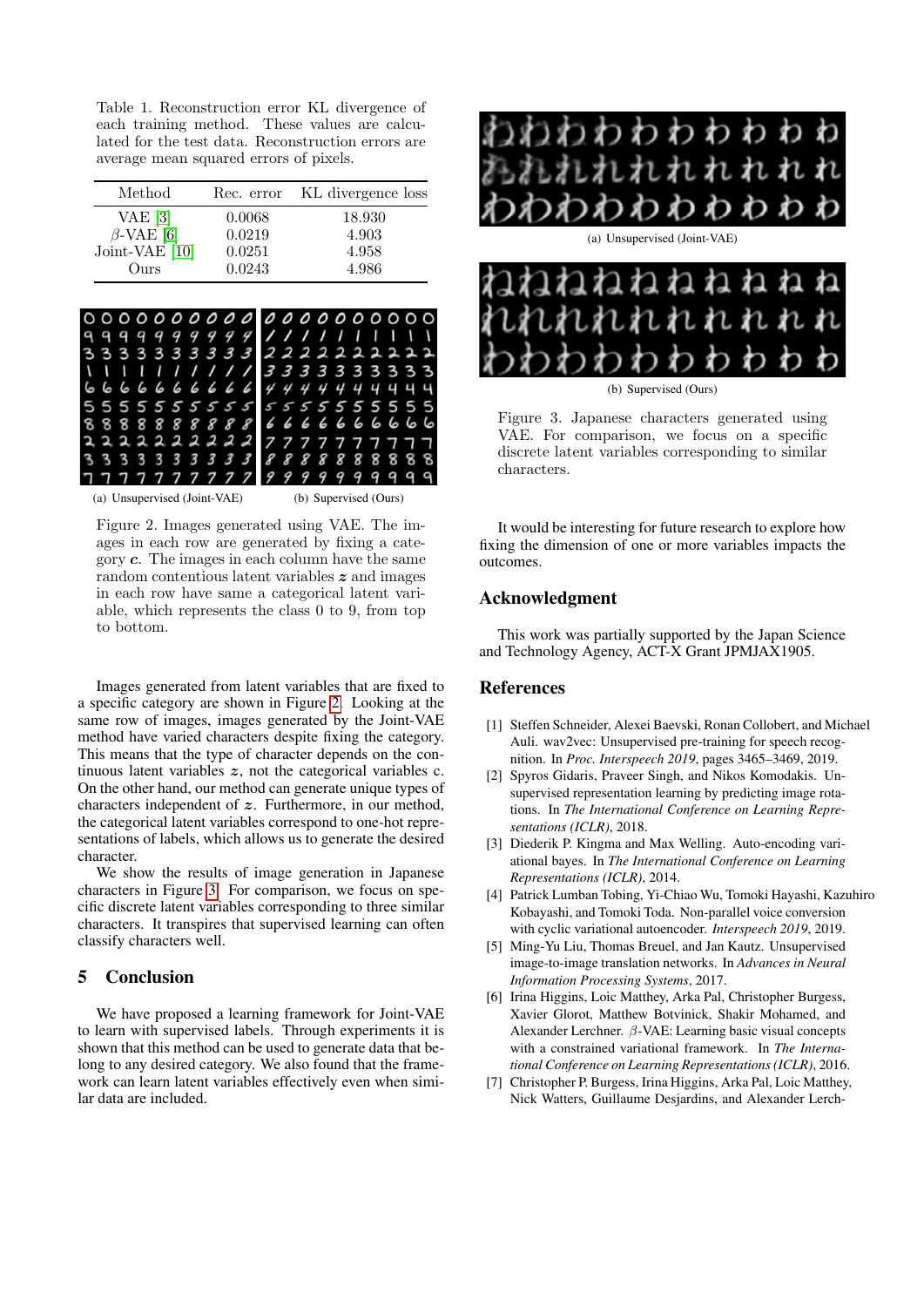Table 1. Reconstruction error KL divergence of each training method. These values are calculated for the test data. Reconstruction errors are average mean squared errors of pixels.

| Method           | Rec. error | KL divergence loss |
|------------------|------------|--------------------|
| VAE $[3]$        | 0.0068     | 18.930             |
| $\beta$ -VAE [6] | 0.0219     | 4.903              |
| Joint-VAE [10]   | 0.0251     | 4.958              |
| Ours             | 0.0243     | 4.986              |



(a) Unsupervised (Joint-VAE) (b) Supervised (Ours)

Figure 2. Images generated using VAE. The images in each row are generated by fixing a category c. The images in each column have the same random contentious latent variables z and images in each row have same a categorical latent variable, which represents the class 0 to 9, from top to bottom.

Images generated from latent variables that are fixed to a specific category are shown in Figure 2. Looking at the same row of images, images generated by the Joint-VAE method have varied characters despite fixing the category. This means that the type of character depends on the continuous latent variables  $z$ , not the categorical variables c. On the other hand, our method can generate unique types of characters independent of z. Furthermore, in our method, the categorical latent variables correspond to one-hot representations of labels, which allows us to generate the desired character.

We show the results of image generation in Japanese characters in Figure 3. For comparison, we focus on specific discrete latent variables corresponding to three similar characters. It transpires that supervised learning can often classify characters well.

# 5 Conclusion

We have proposed a learning framework for Joint-VAE to learn with supervised labels. Through experiments it is shown that this method can be used to generate data that belong to any desired category. We also found that the framework can learn latent variables effectively even when similar data are included.



(a) Unsupervised (Joint-VAE)



(b) Supervised (Ours)

Figure 3. Japanese characters generated using VAE. For comparison, we focus on a specific discrete latent variables corresponding to similar characters.

It would be interesting for future research to explore how fixing the dimension of one or more variables impacts the outcomes.

## Acknowledgment

This work was partially supported by the Japan Science and Technology Agency, ACT-X Grant JPMJAX1905.

## References

- [1] Steffen Schneider, Alexei Baevski, Ronan Collobert, and Michael Auli. wav2vec: Unsupervised pre-training for speech recognition. In *Proc. Interspeech 2019*, pages 3465–3469, 2019.
- [2] Spyros Gidaris, Praveer Singh, and Nikos Komodakis. Unsupervised representation learning by predicting image rotations. In *The International Conference on Learning Representations (ICLR)*, 2018.
- [3] Diederik P. Kingma and Max Welling. Auto-encoding variational bayes. In *The International Conference on Learning Representations (ICLR)*, 2014.
- [4] Patrick Lumban Tobing, Yi-Chiao Wu, Tomoki Hayashi, Kazuhiro Kobayashi, and Tomoki Toda. Non-parallel voice conversion with cyclic variational autoencoder. *Interspeech 2019*, 2019.
- [5] Ming-Yu Liu, Thomas Breuel, and Jan Kautz. Unsupervised image-to-image translation networks. In *Advances in Neural Information Processing Systems*, 2017.
- [6] Irina Higgins, Loic Matthey, Arka Pal, Christopher Burgess, Xavier Glorot, Matthew Botvinick, Shakir Mohamed, and Alexander Lerchner. β-VAE: Learning basic visual concepts with a constrained variational framework. In *The International Conference on Learning Representations (ICLR)*, 2016.
- [7] Christopher P. Burgess, Irina Higgins, Arka Pal, Loic Matthey, Nick Watters, Guillaume Desjardins, and Alexander Lerch-